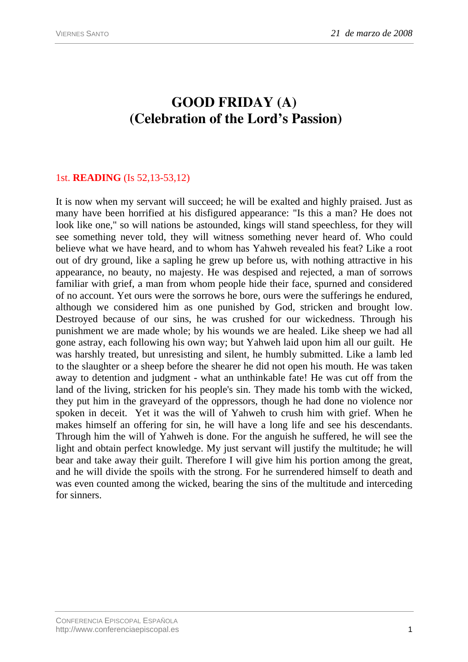# **GOOD FRIDAY (A) (Celebration of the Lord's Passion)**

## 1st. **READING** (Is 52,13-53,12)

It is now when my servant will succeed; he will be exalted and highly praised. Just as many have been horrified at his disfigured appearance: "Is this a man? He does not look like one," so will nations be astounded, kings will stand speechless, for they will see something never told, they will witness something never heard of. Who could believe what we have heard, and to whom has Yahweh revealed his feat? Like a root out of dry ground, like a sapling he grew up before us, with nothing attractive in his appearance, no beauty, no majesty. He was despised and rejected, a man of sorrows familiar with grief, a man from whom people hide their face, spurned and considered of no account. Yet ours were the sorrows he bore, ours were the sufferings he endured, although we considered him as one punished by God, stricken and brought low. Destroyed because of our sins, he was crushed for our wickedness. Through his punishment we are made whole; by his wounds we are healed. Like sheep we had all gone astray, each following his own way; but Yahweh laid upon him all our guilt. He was harshly treated, but unresisting and silent, he humbly submitted. Like a lamb led to the slaughter or a sheep before the shearer he did not open his mouth. He was taken away to detention and judgment - what an unthinkable fate! He was cut off from the land of the living, stricken for his people's sin. They made his tomb with the wicked, they put him in the graveyard of the oppressors, though he had done no violence nor spoken in deceit. Yet it was the will of Yahweh to crush him with grief. When he makes himself an offering for sin, he will have a long life and see his descendants. Through him the will of Yahweh is done. For the anguish he suffered, he will see the light and obtain perfect knowledge. My just servant will justify the multitude; he will bear and take away their guilt. Therefore I will give him his portion among the great, and he will divide the spoils with the strong. For he surrendered himself to death and was even counted among the wicked, bearing the sins of the multitude and interceding for sinners.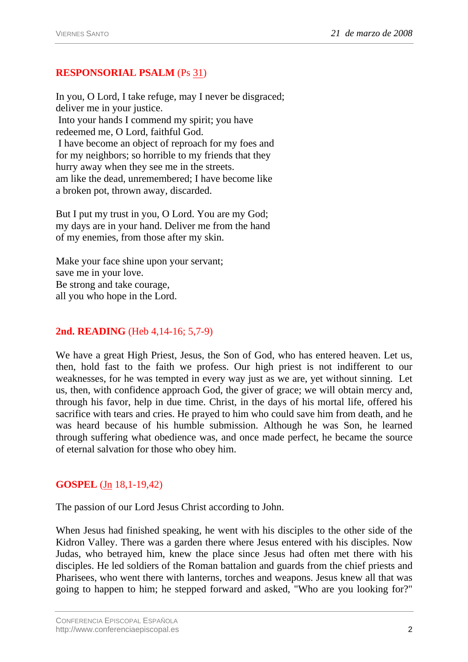## **RESPONSORIAL PSALM** (Ps 31)

In you, O Lord, I take refuge, may I never be disgraced; deliver me in your justice. Into your hands I commend my spirit; you have redeemed me, O Lord, faithful God. I have become an object of reproach for my foes and for my neighbors; so horrible to my friends that they hurry away when they see me in the streets. am like the dead, unremembered; I have become like a broken pot, thrown away, discarded.

But I put my trust in you, O Lord. You are my God; my days are in your hand. Deliver me from the hand of my enemies, from those after my skin.

Make your face shine upon your servant; save me in your love. Be strong and take courage, all you who hope in the Lord.

### **2nd. READING** (Heb 4,14-16; 5,7-9)

We have a great High Priest, Jesus, the Son of God, who has entered heaven. Let us, then, hold fast to the faith we profess. Our high priest is not indifferent to our weaknesses, for he was tempted in every way just as we are, yet without sinning. Let us, then, with confidence approach God, the giver of grace; we will obtain mercy and, through his favor, help in due time. Christ, in the days of his mortal life, offered his sacrifice with tears and cries. He prayed to him who could save him from death, and he was heard because of his humble submission. Although he was Son, he learned through suffering what obedience was, and once made perfect, he became the source of eternal salvation for those who obey him.

## **GOSPEL** (Jn 18,1-19,42)

The passion of our Lord Jesus Christ according to John.

When Jesus had finished speaking, he went with his disciples to the other side of the Kidron Valley. There was a garden there where Jesus entered with his disciples. Now Judas, who betrayed him, knew the place since Jesus had often met there with his disciples. He led soldiers of the Roman battalion and guards from the chief priests and Pharisees, who went there with lanterns, torches and weapons. Jesus knew all that was going to happen to him; he stepped forward and asked, "Who are you looking for?"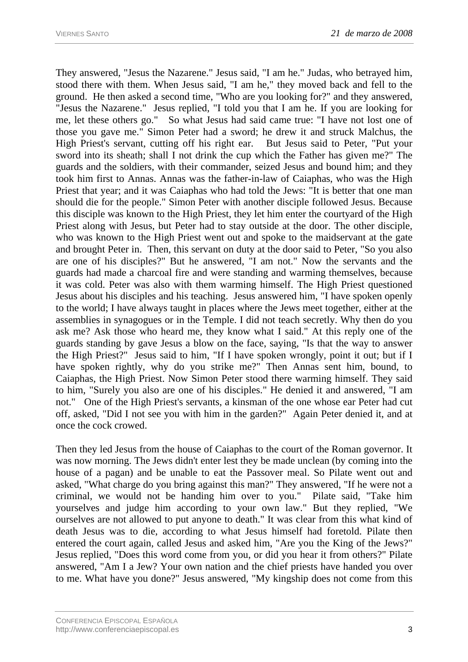They answered, "Jesus the Nazarene." Jesus said, "I am he." Judas, who betrayed him, stood there with them. When Jesus said, "I am he," they moved back and fell to the ground. He then asked a second time, "Who are you looking for?" and they answered, "Jesus the Nazarene." Jesus replied, "I told you that I am he. If you are looking for me, let these others go." So what Jesus had said came true: "I have not lost one of those you gave me." Simon Peter had a sword; he drew it and struck Malchus, the High Priest's servant, cutting off his right ear. But Jesus said to Peter, "Put your sword into its sheath; shall I not drink the cup which the Father has given me?" The guards and the soldiers, with their commander, seized Jesus and bound him; and they took him first to Annas. Annas was the father-in-law of Caiaphas, who was the High Priest that year; and it was Caiaphas who had told the Jews: "It is better that one man should die for the people." Simon Peter with another disciple followed Jesus. Because this disciple was known to the High Priest, they let him enter the courtyard of the High Priest along with Jesus, but Peter had to stay outside at the door. The other disciple, who was known to the High Priest went out and spoke to the maidservant at the gate and brought Peter in. Then, this servant on duty at the door said to Peter, "So you also are one of his disciples?" But he answered, "I am not." Now the servants and the guards had made a charcoal fire and were standing and warming themselves, because it was cold. Peter was also with them warming himself. The High Priest questioned Jesus about his disciples and his teaching. Jesus answered him, "I have spoken openly to the world; I have always taught in places where the Jews meet together, either at the assemblies in synagogues or in the Temple. I did not teach secretly. Why then do you ask me? Ask those who heard me, they know what I said." At this reply one of the guards standing by gave Jesus a blow on the face, saying, "Is that the way to answer the High Priest?" Jesus said to him, "If I have spoken wrongly, point it out; but if I have spoken rightly, why do you strike me?" Then Annas sent him, bound, to Caiaphas, the High Priest. Now Simon Peter stood there warming himself. They said to him, "Surely you also are one of his disciples." He denied it and answered, "I am not." One of the High Priest's servants, a kinsman of the one whose ear Peter had cut off, asked, "Did I not see you with him in the garden?" Again Peter denied it, and at once the cock crowed.

Then they led Jesus from the house of Caiaphas to the court of the Roman governor. It was now morning. The Jews didn't enter lest they be made unclean (by coming into the house of a pagan) and be unable to eat the Passover meal. So Pilate went out and asked, "What charge do you bring against this man?" They answered, "If he were not a criminal, we would not be handing him over to you." Pilate said, "Take him yourselves and judge him according to your own law." But they replied, "We ourselves are not allowed to put anyone to death." It was clear from this what kind of death Jesus was to die, according to what Jesus himself had foretold. Pilate then entered the court again, called Jesus and asked him, "Are you the King of the Jews?" Jesus replied, "Does this word come from you, or did you hear it from others?" Pilate answered, "Am I a Jew? Your own nation and the chief priests have handed you over to me. What have you done?" Jesus answered, "My kingship does not come from this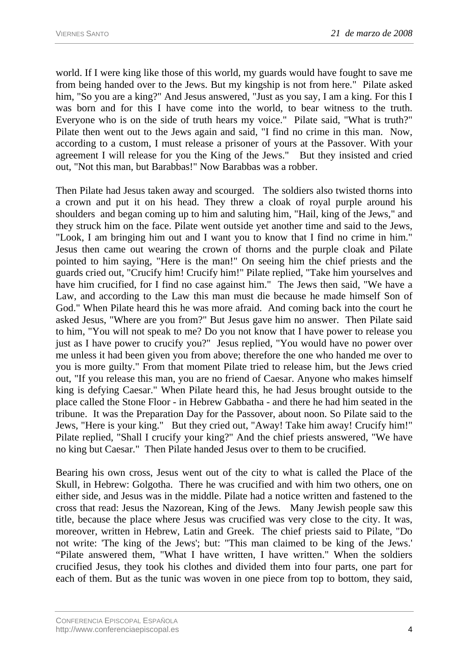world. If I were king like those of this world, my guards would have fought to save me from being handed over to the Jews. But my kingship is not from here." Pilate asked him, "So you are a king?" And Jesus answered, "Just as you say, I am a king. For this I was born and for this I have come into the world, to bear witness to the truth. Everyone who is on the side of truth hears my voice." Pilate said, "What is truth?" Pilate then went out to the Jews again and said, "I find no crime in this man. Now, according to a custom, I must release a prisoner of yours at the Passover. With your agreement I will release for you the King of the Jews." But they insisted and cried out, "Not this man, but Barabbas!" Now Barabbas was a robber.

Then Pilate had Jesus taken away and scourged. The soldiers also twisted thorns into a crown and put it on his head. They threw a cloak of royal purple around his shoulders and began coming up to him and saluting him, "Hail, king of the Jews," and they struck him on the face. Pilate went outside yet another time and said to the Jews, "Look, I am bringing him out and I want you to know that I find no crime in him." Jesus then came out wearing the crown of thorns and the purple cloak and Pilate pointed to him saying, "Here is the man!" On seeing him the chief priests and the guards cried out, "Crucify him! Crucify him!" Pilate replied, "Take him yourselves and have him crucified, for I find no case against him." The Jews then said, "We have a Law, and according to the Law this man must die because he made himself Son of God." When Pilate heard this he was more afraid. And coming back into the court he asked Jesus, "Where are you from?" But Jesus gave him no answer. Then Pilate said to him, "You will not speak to me? Do you not know that I have power to release you just as I have power to crucify you?" Jesus replied, "You would have no power over me unless it had been given you from above; therefore the one who handed me over to you is more guilty." From that moment Pilate tried to release him, but the Jews cried out, "If you release this man, you are no friend of Caesar. Anyone who makes himself king is defying Caesar." When Pilate heard this, he had Jesus brought outside to the place called the Stone Floor - in Hebrew Gabbatha - and there he had him seated in the tribune. It was the Preparation Day for the Passover, about noon. So Pilate said to the Jews, "Here is your king." But they cried out, "Away! Take him away! Crucify him!" Pilate replied, "Shall I crucify your king?" And the chief priests answered, "We have no king but Caesar." Then Pilate handed Jesus over to them to be crucified.

Bearing his own cross, Jesus went out of the city to what is called the Place of the Skull, in Hebrew: Golgotha. There he was crucified and with him two others, one on either side, and Jesus was in the middle. Pilate had a notice written and fastened to the cross that read: Jesus the Nazorean, King of the Jews. Many Jewish people saw this title, because the place where Jesus was crucified was very close to the city. It was, moreover, written in Hebrew, Latin and Greek. The chief priests said to Pilate, "Do not write: 'The king of the Jews'; but: "This man claimed to be king of the Jews.' "Pilate answered them, "What I have written, I have written." When the soldiers crucified Jesus, they took his clothes and divided them into four parts, one part for each of them. But as the tunic was woven in one piece from top to bottom, they said,